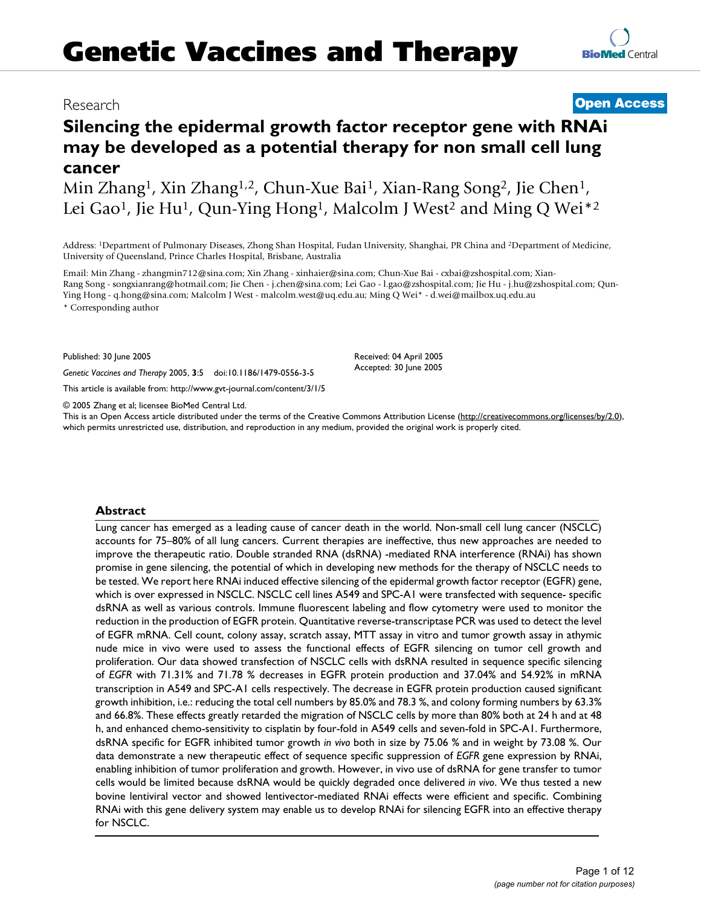# **Silencing the epidermal growth factor receptor gene with RNAi may be developed as a potential therapy for non small cell lung cancer**

Min Zhang1, Xin Zhang1,2, Chun-Xue Bai1, Xian-Rang Song2, Jie Chen1, Lei Gao<sup>1</sup>, Jie Hu<sup>1</sup>, Qun-Ying Hong<sup>1</sup>, Malcolm J West<sup>2</sup> and Ming Q Wei<sup>\*2</sup>

Address: 1Department of Pulmonary Diseases, Zhong Shan Hospital, Fudan University, Shanghai, PR China and 2Department of Medicine, University of Queensland, Prince Charles Hospital, Brisbane, Australia

Email: Min Zhang - zhangmin712@sina.com; Xin Zhang - xinhaier@sina.com; Chun-Xue Bai - cxbai@zshospital.com; Xian-Rang Song - songxianrang@hotmail.com; Jie Chen - j.chen@sina.com; Lei Gao - l.gao@zshospital.com; Jie Hu - j.hu@zshospital.com; Qun-Ying Hong - q.hong@sina.com; Malcolm J West - malcolm.west@uq.edu.au; Ming Q Wei\* - d.wei@mailbox.uq.edu.au

\* Corresponding author

Published: 30 June 2005

*Genetic Vaccines and Therapy* 2005, **3**:5 doi:10.1186/1479-0556-3-5

[This article is available from: http://www.gvt-journal.com/content/3/1/5](http://www.gvt-journal.com/content/3/1/5)

© 2005 Zhang et al; licensee BioMed Central Ltd.

This is an Open Access article distributed under the terms of the Creative Commons Attribution License [\(http://creativecommons.org/licenses/by/2.0\)](http://creativecommons.org/licenses/by/2.0), which permits unrestricted use, distribution, and reproduction in any medium, provided the original work is properly cited.

#### **Abstract**

Lung cancer has emerged as a leading cause of cancer death in the world. Non-small cell lung cancer (NSCLC) accounts for 75–80% of all lung cancers. Current therapies are ineffective, thus new approaches are needed to improve the therapeutic ratio. Double stranded RNA (dsRNA) -mediated RNA interference (RNAi) has shown promise in gene silencing, the potential of which in developing new methods for the therapy of NSCLC needs to be tested. We report here RNAi induced effective silencing of the epidermal growth factor receptor (EGFR) gene, which is over expressed in NSCLC. NSCLC cell lines A549 and SPC-A1 were transfected with sequence- specific dsRNA as well as various controls. Immune fluorescent labeling and flow cytometry were used to monitor the reduction in the production of EGFR protein. Quantitative reverse-transcriptase PCR was used to detect the level of EGFR mRNA. Cell count, colony assay, scratch assay, MTT assay in vitro and tumor growth assay in athymic nude mice in vivo were used to assess the functional effects of EGFR silencing on tumor cell growth and proliferation. Our data showed transfection of NSCLC cells with dsRNA resulted in sequence specific silencing of *EGFR* with 71.31% and 71.78 % decreases in EGFR protein production and 37.04% and 54.92% in mRNA transcription in A549 and SPC-A1 cells respectively. The decrease in EGFR protein production caused significant growth inhibition, i.e.: reducing the total cell numbers by 85.0% and 78.3 %, and colony forming numbers by 63.3% and 66.8%. These effects greatly retarded the migration of NSCLC cells by more than 80% both at 24 h and at 48 h, and enhanced chemo-sensitivity to cisplatin by four-fold in A549 cells and seven-fold in SPC-A1. Furthermore, dsRNA specific for EGFR inhibited tumor growth *in vivo* both in size by 75.06 % and in weight by 73.08 %. Our data demonstrate a new therapeutic effect of sequence specific suppression of *EGFR* gene expression by RNAi, enabling inhibition of tumor proliferation and growth. However, in vivo use of dsRNA for gene transfer to tumor cells would be limited because dsRNA would be quickly degraded once delivered *in vivo*. We thus tested a new bovine lentiviral vector and showed lentivector-mediated RNAi effects were efficient and specific. Combining RNAi with this gene delivery system may enable us to develop RNAi for silencing EGFR into an effective therapy for NSCLC.

# Research **[Open Access](http://www.biomedcentral.com/info/about/charter/)**

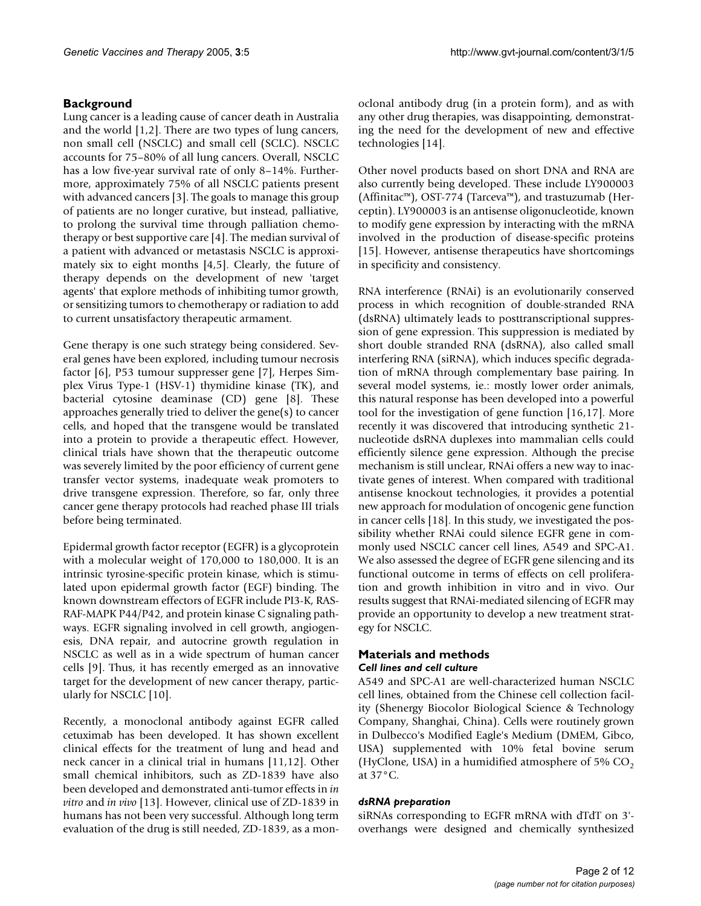## **Background**

Lung cancer is a leading cause of cancer death in Australia and the world [1,2]. There are two types of lung cancers, non small cell (NSCLC) and small cell (SCLC). NSCLC accounts for 75–80% of all lung cancers. Overall, NSCLC has a low five-year survival rate of only 8–14%. Furthermore, approximately 75% of all NSCLC patients present with advanced cancers [3]. The goals to manage this group of patients are no longer curative, but instead, palliative, to prolong the survival time through palliation chemotherapy or best supportive care [4]. The median survival of a patient with advanced or metastasis NSCLC is approximately six to eight months [4,5]. Clearly, the future of therapy depends on the development of new 'target agents' that explore methods of inhibiting tumor growth, or sensitizing tumors to chemotherapy or radiation to add to current unsatisfactory therapeutic armament.

Gene therapy is one such strategy being considered. Several genes have been explored, including tumour necrosis factor [6], P53 tumour suppresser gene [7], Herpes Simplex Virus Type-1 (HSV-1) thymidine kinase (TK), and bacterial cytosine deaminase (CD) gene [8]. These approaches generally tried to deliver the gene(s) to cancer cells, and hoped that the transgene would be translated into a protein to provide a therapeutic effect. However, clinical trials have shown that the therapeutic outcome was severely limited by the poor efficiency of current gene transfer vector systems, inadequate weak promoters to drive transgene expression. Therefore, so far, only three cancer gene therapy protocols had reached phase III trials before being terminated.

Epidermal growth factor receptor (EGFR) is a glycoprotein with a molecular weight of 170,000 to 180,000. It is an intrinsic tyrosine-specific protein kinase, which is stimulated upon epidermal growth factor (EGF) binding. The known downstream effectors of EGFR include PI3-K, RAS-RAF-MAPK P44/P42, and protein kinase C signaling pathways. EGFR signaling involved in cell growth, angiogenesis, DNA repair, and autocrine growth regulation in NSCLC as well as in a wide spectrum of human cancer cells [9]. Thus, it has recently emerged as an innovative target for the development of new cancer therapy, particularly for NSCLC [10].

Recently, a monoclonal antibody against EGFR called cetuximab has been developed. It has shown excellent clinical effects for the treatment of lung and head and neck cancer in a clinical trial in humans [11,12]. Other small chemical inhibitors, such as ZD-1839 have also been developed and demonstrated anti-tumor effects in *in vitro* and *in vivo* [13]. However, clinical use of ZD-1839 in humans has not been very successful. Although long term evaluation of the drug is still needed, ZD-1839, as a monoclonal antibody drug (in a protein form), and as with any other drug therapies, was disappointing, demonstrating the need for the development of new and effective technologies [14].

Other novel products based on short DNA and RNA are also currently being developed. These include LY900003 (Affinitac™), OST-774 (Tarceva™), and trastuzumab (Herceptin). LY900003 is an antisense oligonucleotide, known to modify gene expression by interacting with the mRNA involved in the production of disease-specific proteins [15]. However, antisense therapeutics have shortcomings in specificity and consistency.

RNA interference (RNAi) is an evolutionarily conserved process in which recognition of double-stranded RNA (dsRNA) ultimately leads to posttranscriptional suppression of gene expression. This suppression is mediated by short double stranded RNA (dsRNA), also called small interfering RNA (siRNA), which induces specific degradation of mRNA through complementary base pairing. In several model systems, ie.: mostly lower order animals, this natural response has been developed into a powerful tool for the investigation of gene function [16,17]. More recently it was discovered that introducing synthetic 21 nucleotide dsRNA duplexes into mammalian cells could efficiently silence gene expression. Although the precise mechanism is still unclear, RNAi offers a new way to inactivate genes of interest. When compared with traditional antisense knockout technologies, it provides a potential new approach for modulation of oncogenic gene function in cancer cells [18]. In this study, we investigated the possibility whether RNAi could silence EGFR gene in commonly used NSCLC cancer cell lines, A549 and SPC-A1. We also assessed the degree of EGFR gene silencing and its functional outcome in terms of effects on cell proliferation and growth inhibition in vitro and in vivo. Our results suggest that RNAi-mediated silencing of EGFR may provide an opportunity to develop a new treatment strategy for NSCLC.

#### **Materials and methods** *Cell lines and cell culture*

A549 and SPC-A1 are well-characterized human NSCLC cell lines, obtained from the Chinese cell collection facility (Shenergy Biocolor Biological Science & Technology Company, Shanghai, China). Cells were routinely grown in Dulbecco's Modified Eagle's Medium (DMEM, Gibco, USA) supplemented with 10% fetal bovine serum (HyClone, USA) in a humidified atmosphere of 5%  $CO<sub>2</sub>$ at 37°C.

### *dsRNA preparation*

siRNAs corresponding to EGFR mRNA with dTdT on 3' overhangs were designed and chemically synthesized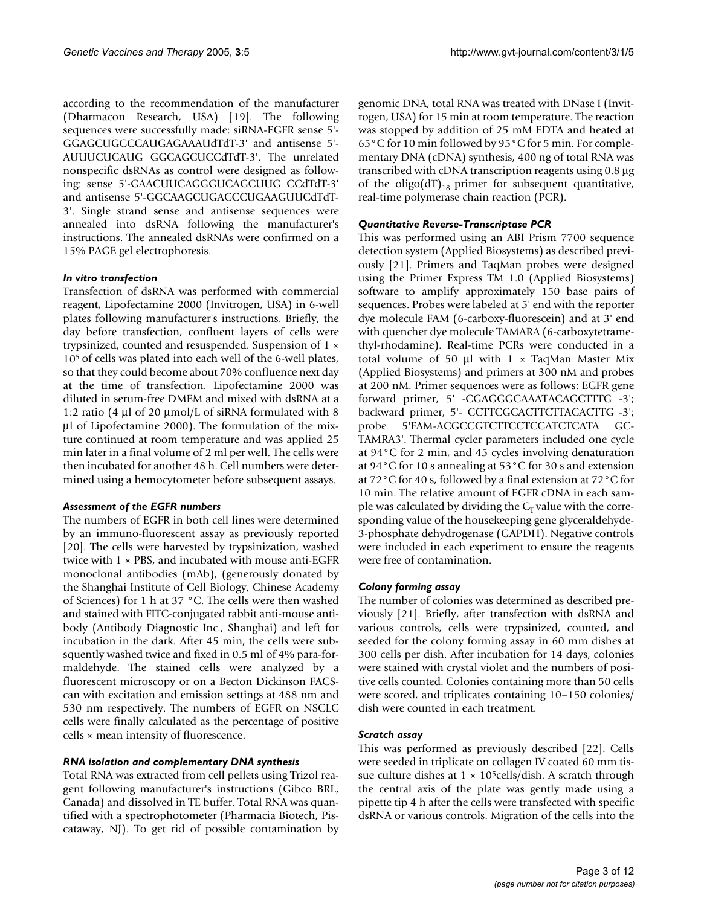according to the recommendation of the manufacturer (Dharmacon Research, USA) [19]. The following sequences were successfully made: siRNA-EGFR sense 5'- GGAGCUGCCCAUGAGAAAUdTdT-3' and antisense 5'- AUUUCUCAUG GGCAGCUCCdTdT-3'. The unrelated nonspecific dsRNAs as control were designed as following: sense 5'-GAACUUCAGGGUCAGCUUG CCdTdT-3' and antisense 5'-GGCAAGCUGACCCUGAAGUUCdTdT-3'. Single strand sense and antisense sequences were annealed into dsRNA following the manufacturer's instructions. The annealed dsRNAs were confirmed on a 15% PAGE gel electrophoresis.

#### *In vitro transfection*

Transfection of dsRNA was performed with commercial reagent, Lipofectamine 2000 (Invitrogen, USA) in 6-well plates following manufacturer's instructions. Briefly, the day before transfection, confluent layers of cells were trypsinized, counted and resuspended. Suspension of 1 × 105 of cells was plated into each well of the 6-well plates, so that they could become about 70% confluence next day at the time of transfection. Lipofectamine 2000 was diluted in serum-free DMEM and mixed with dsRNA at a 1:2 ratio (4 µl of 20 µmol/L of siRNA formulated with 8 µl of Lipofectamine 2000). The formulation of the mixture continued at room temperature and was applied 25 min later in a final volume of 2 ml per well. The cells were then incubated for another 48 h. Cell numbers were determined using a hemocytometer before subsequent assays.

### *Assessment of the EGFR numbers*

The numbers of EGFR in both cell lines were determined by an immuno-fluorescent assay as previously reported [20]. The cells were harvested by trypsinization, washed twice with  $1 \times PBS$ , and incubated with mouse anti-EGFR monoclonal antibodies (mAb), (generously donated by the Shanghai Institute of Cell Biology, Chinese Academy of Sciences) for 1 h at 37 °C. The cells were then washed and stained with FITC-conjugated rabbit anti-mouse antibody (Antibody Diagnostic Inc., Shanghai) and left for incubation in the dark. After 45 min, the cells were subsquently washed twice and fixed in 0.5 ml of 4% para-formaldehyde. The stained cells were analyzed by a fluorescent microscopy or on a Becton Dickinson FACScan with excitation and emission settings at 488 nm and 530 nm respectively. The numbers of EGFR on NSCLC cells were finally calculated as the percentage of positive cells × mean intensity of fluorescence.

### *RNA isolation and complementary DNA synthesis*

Total RNA was extracted from cell pellets using Trizol reagent following manufacturer's instructions (Gibco BRL, Canada) and dissolved in TE buffer. Total RNA was quantified with a spectrophotometer (Pharmacia Biotech, Piscataway, NJ). To get rid of possible contamination by genomic DNA, total RNA was treated with DNase I (Invitrogen, USA) for 15 min at room temperature. The reaction was stopped by addition of 25 mM EDTA and heated at 65°C for 10 min followed by 95°C for 5 min. For complementary DNA (cDNA) synthesis, 400 ng of total RNA was transcribed with cDNA transcription reagents using 0.8 µg of the oligo(dT)<sub>18</sub> primer for subsequent quantitative, real-time polymerase chain reaction (PCR).

### *Quantitative Reverse-Transcriptase PCR*

This was performed using an ABI Prism 7700 sequence detection system (Applied Biosystems) as described previously [21]. Primers and TaqMan probes were designed using the Primer Express TM 1.0 (Applied Biosystems) software to amplify approximately 150 base pairs of sequences. Probes were labeled at 5' end with the reporter dye molecule FAM (6-carboxy-fluorescein) and at 3' end with quencher dye molecule TAMARA (6-carboxytetramethyl-rhodamine). Real-time PCRs were conducted in a total volume of 50  $\mu$ l with 1 × TaqMan Master Mix (Applied Biosystems) and primers at 300 nM and probes at 200 nM. Primer sequences were as follows: EGFR gene forward primer, 5' -CGAGGGCAAATACAGCTTTG -3'; backward primer, 5'- CCTTCGCACTTCTTACACTTG -3'; probe 5'FAM-ACGCCGTCTTCCTCCATCTCATA GC-TAMRA3'. Thermal cycler parameters included one cycle at 94°C for 2 min, and 45 cycles involving denaturation at 94°C for 10 s annealing at 53°C for 30 s and extension at 72°C for 40 s, followed by a final extension at 72°C for 10 min. The relative amount of EGFR cDNA in each sample was calculated by dividing the  $C_T$  value with the corresponding value of the housekeeping gene glyceraldehyde-3-phosphate dehydrogenase (GAPDH). Negative controls were included in each experiment to ensure the reagents were free of contamination.

### *Colony forming assay*

The number of colonies was determined as described previously [21]. Briefly, after transfection with dsRNA and various controls, cells were trypsinized, counted, and seeded for the colony forming assay in 60 mm dishes at 300 cells per dish. After incubation for 14 days, colonies were stained with crystal violet and the numbers of positive cells counted. Colonies containing more than 50 cells were scored, and triplicates containing 10–150 colonies/ dish were counted in each treatment.

### *Scratch assay*

This was performed as previously described [22]. Cells were seeded in triplicate on collagen IV coated 60 mm tissue culture dishes at  $1 \times 10^5$ cells/dish. A scratch through the central axis of the plate was gently made using a pipette tip 4 h after the cells were transfected with specific dsRNA or various controls. Migration of the cells into the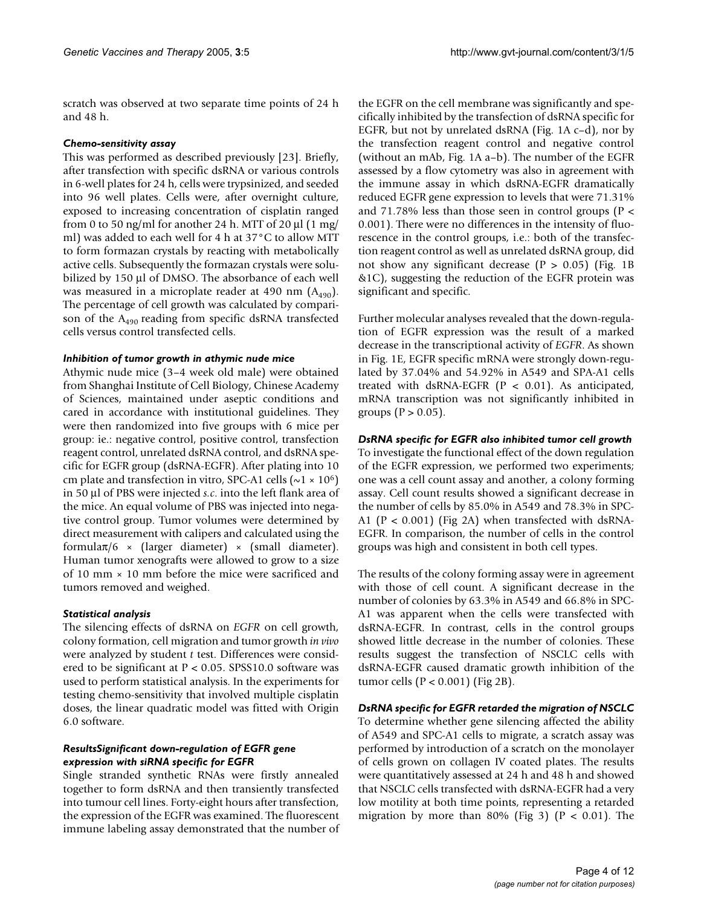scratch was observed at two separate time points of 24 h and 48 h.

#### *Chemo-sensitivity assay*

This was performed as described previously [23]. Briefly, after transfection with specific dsRNA or various controls in 6-well plates for 24 h, cells were trypsinized, and seeded into 96 well plates. Cells were, after overnight culture, exposed to increasing concentration of cisplatin ranged from 0 to 50 ng/ml for another 24 h. MTT of 20  $\mu$ l (1 mg/ ml) was added to each well for 4 h at 37°C to allow MTT to form formazan crystals by reacting with metabolically active cells. Subsequently the formazan crystals were solubilized by 150 µl of DMSO. The absorbance of each well was measured in a microplate reader at 490 nm  $(A_{490})$ . The percentage of cell growth was calculated by comparison of the  $A_{490}$  reading from specific dsRNA transfected cells versus control transfected cells.

#### *Inhibition of tumor growth in athymic nude mice*

Athymic nude mice (3–4 week old male) were obtained from Shanghai Institute of Cell Biology, Chinese Academy of Sciences, maintained under aseptic conditions and cared in accordance with institutional guidelines. They were then randomized into five groups with 6 mice per group: ie.: negative control, positive control, transfection reagent control, unrelated dsRNA control, and dsRNA specific for EGFR group (dsRNA-EGFR). After plating into 10 cm plate and transfection in vitro, SPC-A1 cells ( $\sim$ 1 × 10<sup>6</sup>) in 50 µl of PBS were injected *s.c*. into the left flank area of the mice. An equal volume of PBS was injected into negative control group. Tumor volumes were determined by direct measurement with calipers and calculated using the formula $\pi/6 \times$  (larger diameter)  $\times$  (small diameter). Human tumor xenografts were allowed to grow to a size of 10 mm × 10 mm before the mice were sacrificed and tumors removed and weighed.

### *Statistical analysis*

The silencing effects of dsRNA on *EGFR* on cell growth, colony formation, cell migration and tumor growth *in vivo* were analyzed by student *t* test. Differences were considered to be significant at P < 0.05. SPSS10.0 software was used to perform statistical analysis. In the experiments for testing chemo-sensitivity that involved multiple cisplatin doses, the linear quadratic model was fitted with Origin 6.0 software.

#### *ResultsSignificant down-regulation of EGFR gene expression with siRNA specific for EGFR*

Single stranded synthetic RNAs were firstly annealed together to form dsRNA and then transiently transfected into tumour cell lines. Forty-eight hours after transfection, the expression of the EGFR was examined. The fluorescent immune labeling assay demonstrated that the number of the EGFR on the cell membrane was significantly and specifically inhibited by the transfection of dsRNA specific for EGFR, but not by unrelated dsRNA (Fig. [1](#page-4-0)A c–d), nor by the transfection reagent control and negative control (without an mAb, Fig. [1A](#page-4-0) a–b). The number of the EGFR assessed by a flow cytometry was also in agreement with the immune assay in which dsRNA-EGFR dramatically reduced EGFR gene expression to levels that were 71.31% and 71.78% less than those seen in control groups ( $P \lt \theta$ 0.001). There were no differences in the intensity of fluorescence in the control groups, i.e.: both of the transfection reagent control as well as unrelated dsRNA group, did not show any significant decrease  $(P > 0.05)$  (Fig. [1](#page-4-0)B) &[1](#page-4-0)C), suggesting the reduction of the EGFR protein was significant and specific.

Further molecular analyses revealed that the down-regulation of EGFR expression was the result of a marked decrease in the transcriptional activity of *EGFR*. As shown in Fig. [1E](#page-4-0), EGFR specific mRNA were strongly down-regulated by 37.04% and 54.92% in A549 and SPA-A1 cells treated with dsRNA-EGFR  $(P < 0.01)$ . As anticipated, mRNA transcription was not significantly inhibited in groups ( $P > 0.05$ ).

#### *DsRNA specific for EGFR also inhibited tumor cell growth*

To investigate the functional effect of the down regulation of the EGFR expression, we performed two experiments; one was a cell count assay and another, a colony forming assay. Cell count results showed a significant decrease in the number of cells by 85.0% in A549 and 78.3% in SPC-A1 (P < 0.001) (Fig [2A](#page-5-0)) when transfected with dsRNA-EGFR. In comparison, the number of cells in the control groups was high and consistent in both cell types.

The results of the colony forming assay were in agreement with those of cell count. A significant decrease in the number of colonies by 63.3% in A549 and 66.8% in SPC-A1 was apparent when the cells were transfected with dsRNA-EGFR. In contrast, cells in the control groups showed little decrease in the number of colonies. These results suggest the transfection of NSCLC cells with dsRNA-EGFR caused dramatic growth inhibition of the tumor cells  $(P < 0.001)$  (Fig [2B](#page-5-0)).

### *DsRNA specific for EGFR retarded the migration of NSCLC*

To determine whether gene silencing affected the ability of A549 and SPC-A1 cells to migrate, a scratch assay was performed by introduction of a scratch on the monolayer of cells grown on collagen IV coated plates. The results were quantitatively assessed at 24 h and 48 h and showed that NSCLC cells transfected with dsRNA-EGFR had a very low motility at both time points, representing a retarded migration by more than 80% (Fig 3) ( $P < 0.01$ ). The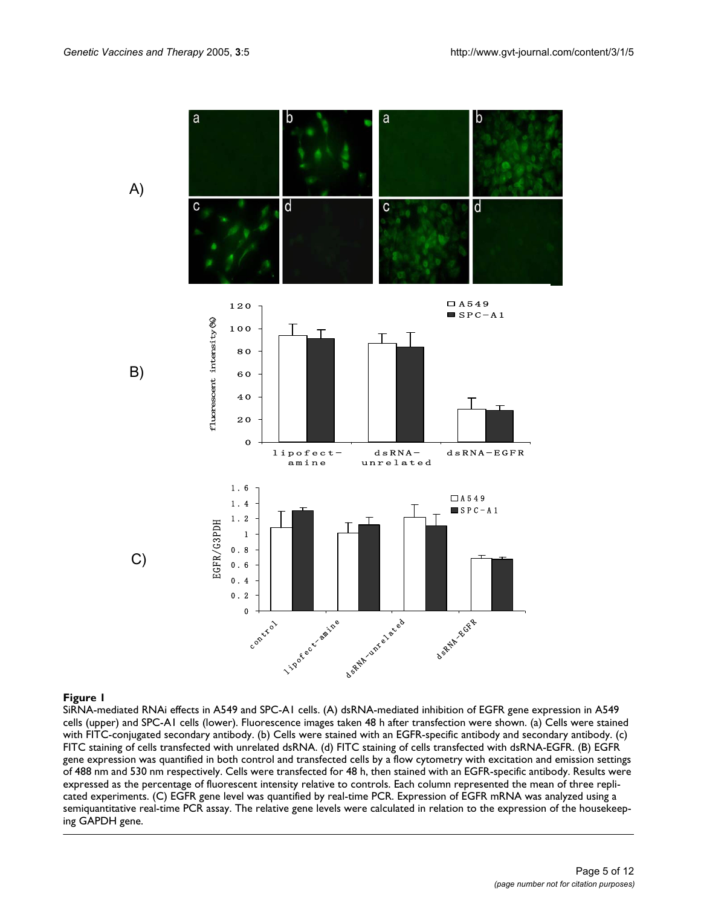<span id="page-4-0"></span>

#### Figure 1

SiRNA-mediated RNAi effects in A549 and SPC-A1 cells. (A) dsRNA-mediated inhibition of EGFR gene expression in A549 cells (upper) and SPC-A1 cells (lower). Fluorescence images taken 48 h after transfection were shown. (a) Cells were stained with FITC-conjugated secondary antibody. (b) Cells were stained with an EGFR-specific antibody and secondary antibody. (c) FITC staining of cells transfected with unrelated dsRNA. (d) FITC staining of cells transfected with dsRNA-EGFR. (B) EGFR gene expression was quantified in both control and transfected cells by a flow cytometry with excitation and emission settings of 488 nm and 530 nm respectively. Cells were transfected for 48 h, then stained with an EGFR-specific antibody. Results were expressed as the percentage of fluorescent intensity relative to controls. Each column represented the mean of three replicated experiments. (C) EGFR gene level was quantified by real-time PCR. Expression of EGFR mRNA was analyzed using a semiquantitative real-time PCR assay. The relative gene levels were calculated in relation to the expression of the housekeeping GAPDH gene.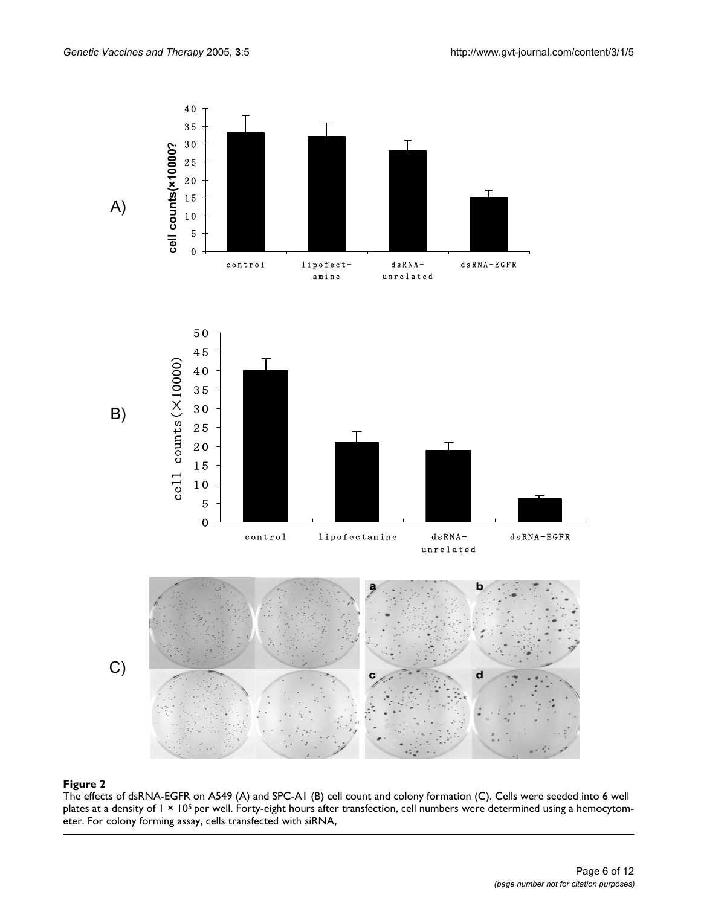<span id="page-5-0"></span>

#### The effects of dsRNA-EGFR on A549 (A) and SPC- **Figure 2** A1 (B) cell count and colony formation (C)

The effects of dsRNA-EGFR on A549 (A) and SPC-A1 (B) cell count and colony formation (C). Cells were seeded into 6 well plates at a density of  $1 \times 10^5$  per well. Forty-eight hours after transfection, cell numbers were determined using a hemocytometer. For colony forming assay, cells transfected with siRNA,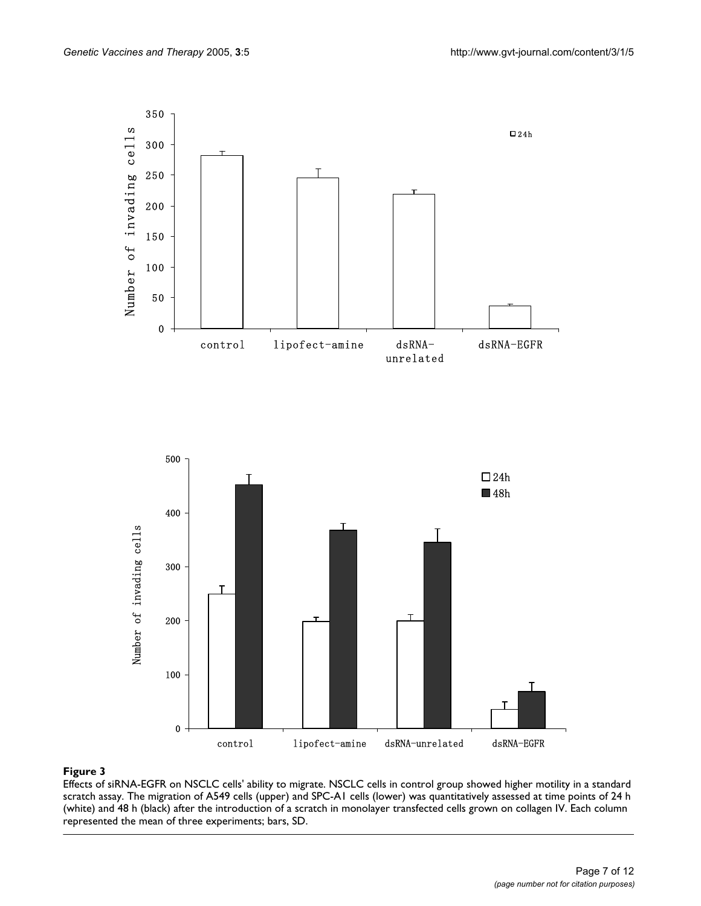

#### Figure 3

Effects of siRNA-EGFR on NSCLC cells' ability to migrate. NSCLC cells in control group showed higher motility in a standard scratch assay. The migration of A549 cells (upper) and SPC-A1 cells (lower) was quantitatively assessed at time points of 24 h (white) and 48 h (black) after the introduction of a scratch in monolayer transfected cells grown on collagen IV. Each column represented the mean of three experiments; bars, SD.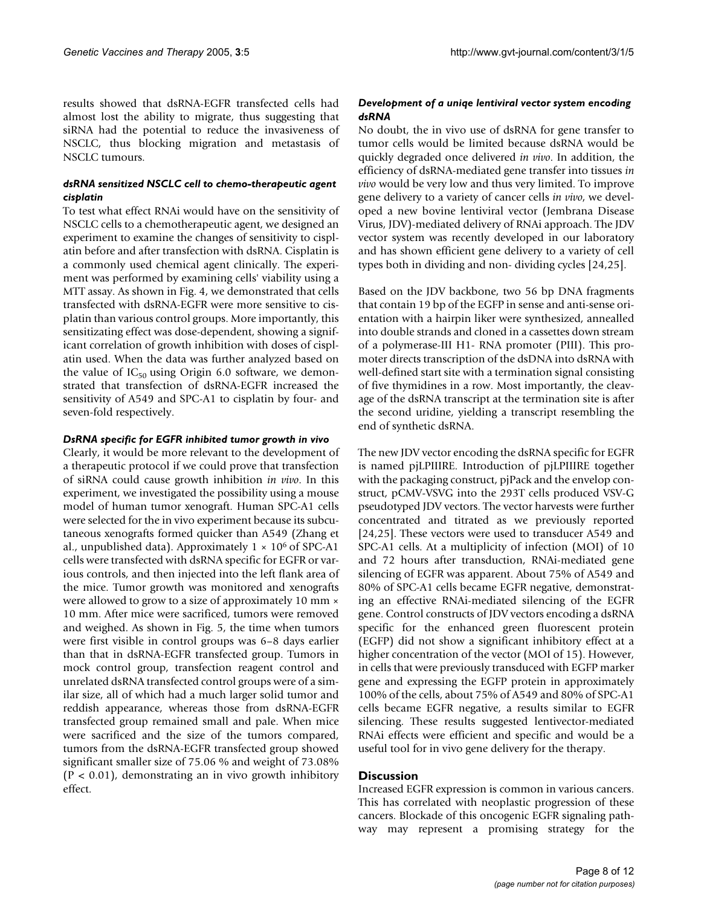results showed that dsRNA-EGFR transfected cells had almost lost the ability to migrate, thus suggesting that siRNA had the potential to reduce the invasiveness of NSCLC, thus blocking migration and metastasis of NSCLC tumours.

#### *dsRNA sensitized NSCLC cell to chemo-therapeutic agent cisplatin*

To test what effect RNAi would have on the sensitivity of NSCLC cells to a chemotherapeutic agent, we designed an experiment to examine the changes of sensitivity to cisplatin before and after transfection with dsRNA. Cisplatin is a commonly used chemical agent clinically. The experiment was performed by examining cells' viability using a MTT assay. As shown in Fig. [4](#page-8-0), we demonstrated that cells transfected with dsRNA-EGFR were more sensitive to cisplatin than various control groups. More importantly, this sensitizating effect was dose-dependent, showing a significant correlation of growth inhibition with doses of cisplatin used. When the data was further analyzed based on the value of  $IC_{50}$  using Origin 6.0 software, we demonstrated that transfection of dsRNA-EGFR increased the sensitivity of A549 and SPC-A1 to cisplatin by four- and seven-fold respectively.

#### *DsRNA specific for EGFR inhibited tumor growth in vivo*

Clearly, it would be more relevant to the development of a therapeutic protocol if we could prove that transfection of siRNA could cause growth inhibition *in vivo*. In this experiment, we investigated the possibility using a mouse model of human tumor xenograft. Human SPC-A1 cells were selected for the in vivo experiment because its subcutaneous xenografts formed quicker than A549 (Zhang et al., unpublished data). Approximately  $1 \times 10^6$  of SPC-A1 cells were transfected with dsRNA specific for EGFR or various controls, and then injected into the left flank area of the mice. Tumor growth was monitored and xenografts were allowed to grow to a size of approximately 10 mm × 10 mm. After mice were sacrificed, tumors were removed and weighed. As shown in Fig. [5](#page-9-0), the time when tumors were first visible in control groups was 6–8 days earlier than that in dsRNA-EGFR transfected group. Tumors in mock control group, transfection reagent control and unrelated dsRNA transfected control groups were of a similar size, all of which had a much larger solid tumor and reddish appearance, whereas those from dsRNA-EGFR transfected group remained small and pale. When mice were sacrificed and the size of the tumors compared, tumors from the dsRNA-EGFR transfected group showed significant smaller size of 75.06 % and weight of 73.08%  $(P < 0.01)$ , demonstrating an in vivo growth inhibitory effect.

#### *Development of a uniqe lentiviral vector system encoding dsRNA*

No doubt, the in vivo use of dsRNA for gene transfer to tumor cells would be limited because dsRNA would be quickly degraded once delivered *in vivo*. In addition, the efficiency of dsRNA-mediated gene transfer into tissues *in vivo* would be very low and thus very limited. To improve gene delivery to a variety of cancer cells *in vivo*, we developed a new bovine lentiviral vector (Jembrana Disease Virus, JDV)-mediated delivery of RNAi approach. The JDV vector system was recently developed in our laboratory and has shown efficient gene delivery to a variety of cell types both in dividing and non- dividing cycles [24,25].

Based on the JDV backbone, two 56 bp DNA fragments that contain 19 bp of the EGFP in sense and anti-sense orientation with a hairpin liker were synthesized, annealled into double strands and cloned in a cassettes down stream of a polymerase-III H1- RNA promoter (PIII). This promoter directs transcription of the dsDNA into dsRNA with well-defined start site with a termination signal consisting of five thymidines in a row. Most importantly, the cleavage of the dsRNA transcript at the termination site is after the second uridine, yielding a transcript resembling the end of synthetic dsRNA.

The new JDV vector encoding the dsRNA specific for EGFR is named pjLPIIIRE. Introduction of pjLPIIIRE together with the packaging construct, pjPack and the envelop construct, pCMV-VSVG into the 293T cells produced VSV-G pseudotyped JDV vectors. The vector harvests were further concentrated and titrated as we previously reported [24,25]. These vectors were used to transducer A549 and SPC-A1 cells. At a multiplicity of infection (MOI) of 10 and 72 hours after transduction, RNAi-mediated gene silencing of EGFR was apparent. About 75% of A549 and 80% of SPC-A1 cells became EGFR negative, demonstrating an effective RNAi-mediated silencing of the EGFR gene. Control constructs of JDV vectors encoding a dsRNA specific for the enhanced green fluorescent protein (EGFP) did not show a significant inhibitory effect at a higher concentration of the vector (MOI of 15). However, in cells that were previously transduced with EGFP marker gene and expressing the EGFP protein in approximately 100% of the cells, about 75% of A549 and 80% of SPC-A1 cells became EGFR negative, a results similar to EGFR silencing. These results suggested lentivector-mediated RNAi effects were efficient and specific and would be a useful tool for in vivo gene delivery for the therapy.

#### **Discussion**

Increased EGFR expression is common in various cancers. This has correlated with neoplastic progression of these cancers. Blockade of this oncogenic EGFR signaling pathway may represent a promising strategy for the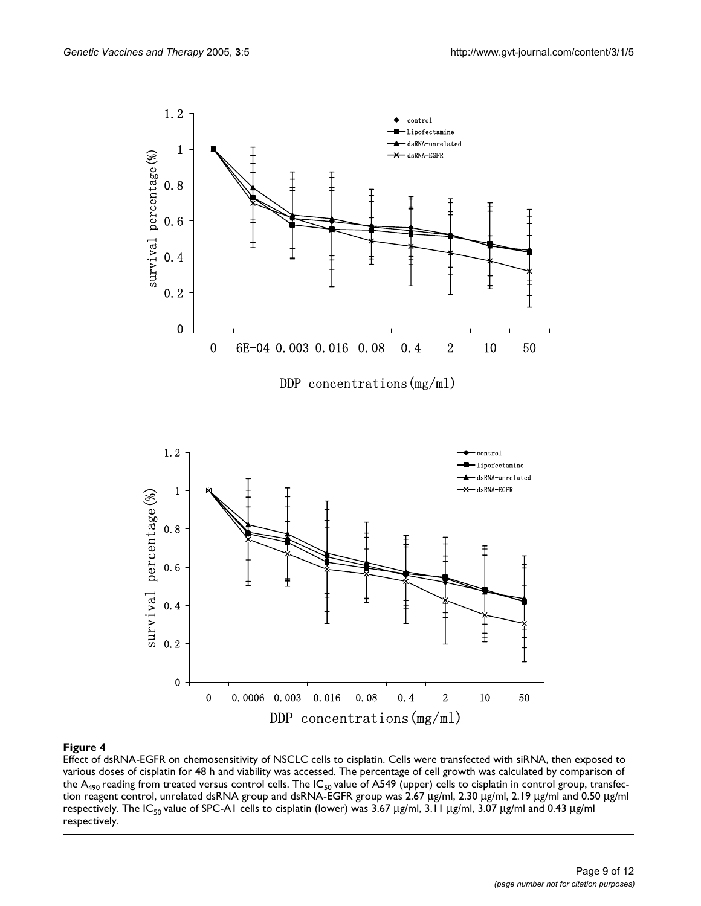<span id="page-8-0"></span>

#### **Figure 4**

Effect of dsRNA-EGFR on chemosensitivity of NSCLC cells to cisplatin. Cells were transfected with siRNA, then exposed to various doses of cisplatin for 48 h and viability was accessed. The percentage of cell growth was calculated by comparison of the A<sub>490</sub> reading from treated versus control cells. The IC<sub>50</sub> value of A549 (upper) cells to cisplatin in control group, transfection reagent control, unrelated dsRNA group and dsRNA-EGFR group was 2.67 µg/ml, 2.30 µg/ml, 2.19 µg/ml and 0.50 µg/ml respectively. The IC<sub>50</sub> value of SPC-A1 cells to cisplatin (lower) was 3.67  $\mu$ g/ml, 3.11  $\mu$ g/ml, 3.07  $\mu$ g/ml and 0.43  $\mu$ g/ml respectively.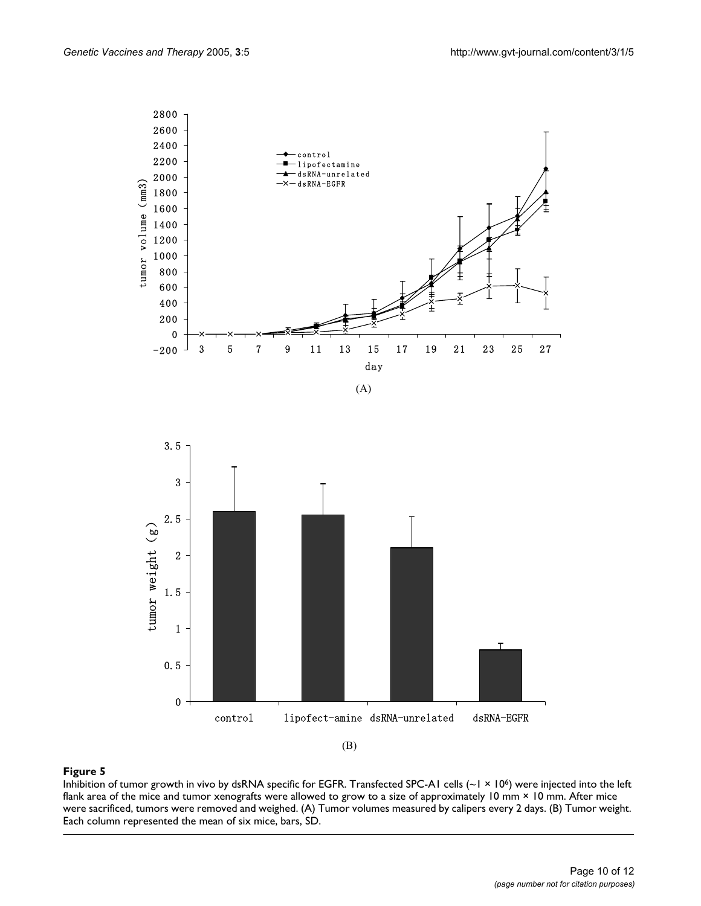<span id="page-9-0"></span>

 $(A)$ 



#### (B)

#### Figure 5

Inhibition of tumor growth in vivo by dsRNA specific for EGFR. Transfected SPC-A1 cells  $(-1 \times 10^6)$  were injected into the left flank area of the mice and tumor xenografts were allowed to grow to a size of approximately 10 mm × 10 mm. After mice were sacrificed, tumors were removed and weighed. (A) Tumor volumes measured by calipers every 2 days. (B) Tumor weight. Each column represented the mean of six mice, bars, SD.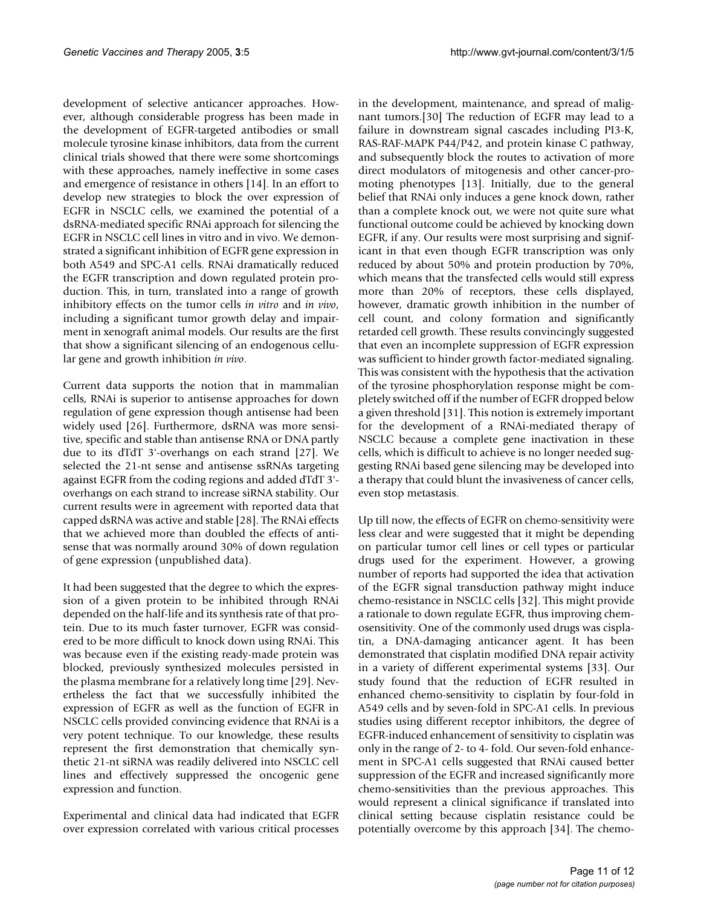development of selective anticancer approaches. However, although considerable progress has been made in the development of EGFR-targeted antibodies or small molecule tyrosine kinase inhibitors, data from the current clinical trials showed that there were some shortcomings with these approaches, namely ineffective in some cases and emergence of resistance in others [14]. In an effort to develop new strategies to block the over expression of EGFR in NSCLC cells, we examined the potential of a dsRNA-mediated specific RNAi approach for silencing the EGFR in NSCLC cell lines in vitro and in vivo. We demonstrated a significant inhibition of EGFR gene expression in both A549 and SPC-A1 cells. RNAi dramatically reduced the EGFR transcription and down regulated protein production. This, in turn, translated into a range of growth inhibitory effects on the tumor cells *in vitro* and *in vivo*, including a significant tumor growth delay and impairment in xenograft animal models. Our results are the first that show a significant silencing of an endogenous cellular gene and growth inhibition *in vivo*.

Current data supports the notion that in mammalian cells, RNAi is superior to antisense approaches for down regulation of gene expression though antisense had been widely used [26]. Furthermore, dsRNA was more sensitive, specific and stable than antisense RNA or DNA partly due to its dTdT 3'-overhangs on each strand [27]. We selected the 21-nt sense and antisense ssRNAs targeting against EGFR from the coding regions and added dTdT 3' overhangs on each strand to increase siRNA stability. Our current results were in agreement with reported data that capped dsRNA was active and stable [28]. The RNAi effects that we achieved more than doubled the effects of antisense that was normally around 30% of down regulation of gene expression (unpublished data).

It had been suggested that the degree to which the expression of a given protein to be inhibited through RNAi depended on the half-life and its synthesis rate of that protein. Due to its much faster turnover, EGFR was considered to be more difficult to knock down using RNAi. This was because even if the existing ready-made protein was blocked, previously synthesized molecules persisted in the plasma membrane for a relatively long time [29]. Nevertheless the fact that we successfully inhibited the expression of EGFR as well as the function of EGFR in NSCLC cells provided convincing evidence that RNAi is a very potent technique. To our knowledge, these results represent the first demonstration that chemically synthetic 21-nt siRNA was readily delivered into NSCLC cell lines and effectively suppressed the oncogenic gene expression and function.

Experimental and clinical data had indicated that EGFR over expression correlated with various critical processes in the development, maintenance, and spread of malignant tumors.[30] The reduction of EGFR may lead to a failure in downstream signal cascades including PI3-K, RAS-RAF-MAPK P44/P42, and protein kinase C pathway, and subsequently block the routes to activation of more direct modulators of mitogenesis and other cancer-promoting phenotypes [13]. Initially, due to the general belief that RNAi only induces a gene knock down, rather than a complete knock out, we were not quite sure what functional outcome could be achieved by knocking down EGFR, if any. Our results were most surprising and significant in that even though EGFR transcription was only reduced by about 50% and protein production by 70%, which means that the transfected cells would still express more than 20% of receptors, these cells displayed, however, dramatic growth inhibition in the number of cell count, and colony formation and significantly retarded cell growth. These results convincingly suggested that even an incomplete suppression of EGFR expression was sufficient to hinder growth factor-mediated signaling. This was consistent with the hypothesis that the activation of the tyrosine phosphorylation response might be completely switched off if the number of EGFR dropped below a given threshold [31]. This notion is extremely important for the development of a RNAi-mediated therapy of NSCLC because a complete gene inactivation in these cells, which is difficult to achieve is no longer needed suggesting RNAi based gene silencing may be developed into a therapy that could blunt the invasiveness of cancer cells, even stop metastasis.

Up till now, the effects of EGFR on chemo-sensitivity were less clear and were suggested that it might be depending on particular tumor cell lines or cell types or particular drugs used for the experiment. However, a growing number of reports had supported the idea that activation of the EGFR signal transduction pathway might induce chemo-resistance in NSCLC cells [32]. This might provide a rationale to down regulate EGFR, thus improving chemosensitivity. One of the commonly used drugs was cisplatin, a DNA-damaging anticancer agent. It has been demonstrated that cisplatin modified DNA repair activity in a variety of different experimental systems [33]. Our study found that the reduction of EGFR resulted in enhanced chemo-sensitivity to cisplatin by four-fold in A549 cells and by seven-fold in SPC-A1 cells. In previous studies using different receptor inhibitors, the degree of EGFR-induced enhancement of sensitivity to cisplatin was only in the range of 2- to 4- fold. Our seven-fold enhancement in SPC-A1 cells suggested that RNAi caused better suppression of the EGFR and increased significantly more chemo-sensitivities than the previous approaches. This would represent a clinical significance if translated into clinical setting because cisplatin resistance could be potentially overcome by this approach [34]. The chemo